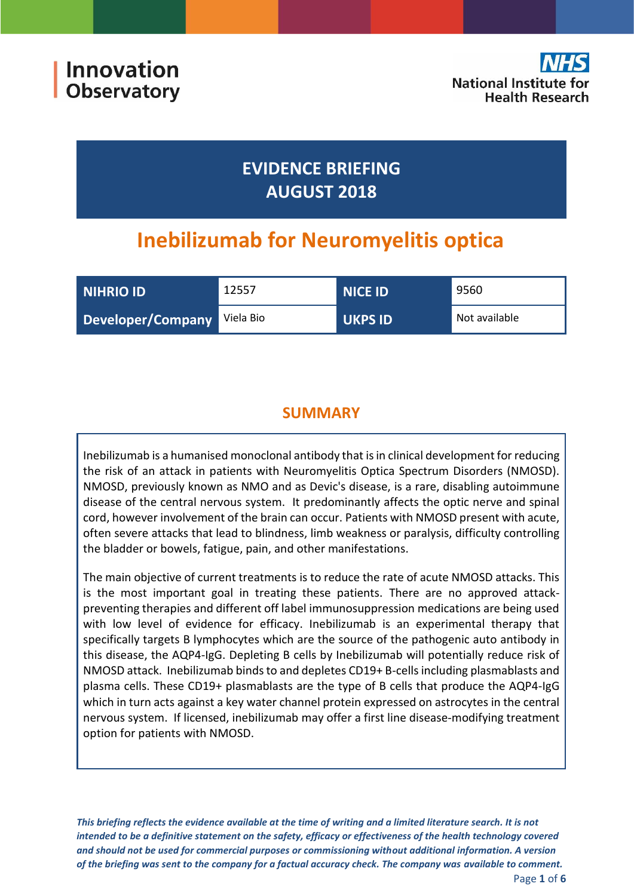# **EVIDENCE BRIEFING AUGUST 2018**

# **Inebilizumab for Neuromyelitis optica**

| NIHRIO ID         | 12557     | <b>NICE ID</b> | 9560          |
|-------------------|-----------|----------------|---------------|
| Developer/Company | Viela Bio | <b>UKPS ID</b> | Not available |

# **SUMMARY**

Inebilizumab is a humanised monoclonal antibody that is in clinical development for reducing the risk of an attack in patients with Neuromyelitis Optica Spectrum Disorders (NMOSD). NMOSD, previously known as NMO and as Devic's disease, is a rare, disabling autoimmune disease of the central nervous system. It predominantly affects the optic nerve and spinal cord, however involvement of the brain can occur. Patients with NMOSD present with acute, often severe attacks that lead to blindness, limb weakness or paralysis, difficulty controlling the bladder or bowels, fatigue, pain, and other manifestations.

The main objective of current treatments is to reduce the rate of acute NMOSD attacks. This is the most important goal in treating these patients. There are no approved attackpreventing therapies and different off label immunosuppression medications are being used with low level of evidence for efficacy. Inebilizumab is an experimental therapy that specifically targets B lymphocytes which are the source of the pathogenic auto antibody in this disease, the AQP4-IgG. Depleting B cells by Inebilizumab will potentially reduce risk of NMOSD attack. Inebilizumab binds to and depletes CD19+ B-cells including plasmablasts and plasma cells. These CD19+ plasmablasts are the type of B cells that produce the AQP4-IgG which in turn acts against a key water channel protein expressed on astrocytes in the central nervous system. If licensed, inebilizumab may offer a first line disease-modifying treatment option for patients with NMOSD.

*This briefing reflects the evidence available at the time of writing and a limited literature search. It is not intended to be a definitive statement on the safety, efficacy or effectiveness of the health technology covered and should not be used for commercial purposes or commissioning without additional information. A version of the briefing was sent to the company for a factual accuracy check. The company was available to comment.*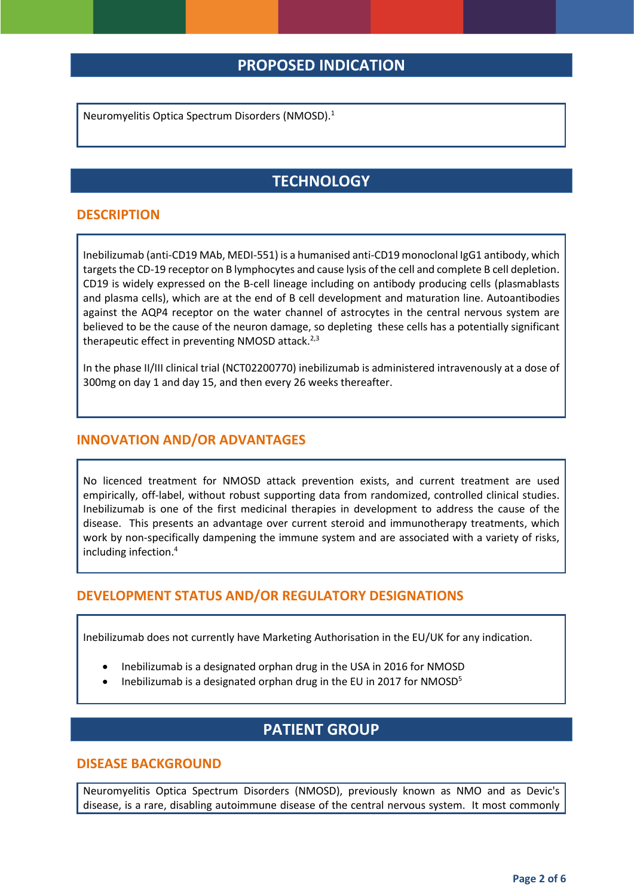## **PROPOSED INDICATION**

Neuromyelitis Optica Spectrum Disorders (NMOSD). 1

# **TECHNOLOGY**

#### **DESCRIPTION**

Inebilizumab (anti-CD19 MAb, MEDI-551) is a humanised anti-CD19 monoclonal IgG1 antibody, which targets the CD-19 receptor on B lymphocytes and cause lysis of the cell and complete B cell depletion. CD19 is widely expressed on the B-cell lineage including on antibody producing cells (plasmablasts and plasma cells), which are at the end of B cell development and maturation line. Autoantibodies against the AQP4 receptor on the water channel of astrocytes in the central nervous system are believed to be the cause of the neuron damage, so depleting these cells has a potentially significant therapeutic effect in preventing NMOSD attack. $2,3$ 

In the phase II/III clinical trial (NCT02200770) inebilizumab is administered intravenously at a dose of 300mg on day 1 and day 15, and then every 26 weeks thereafter.

#### **INNOVATION AND/OR ADVANTAGES**

No licenced treatment for NMOSD attack prevention exists, and current treatment are used empirically, off-label, without robust supporting data from randomized, controlled clinical studies. Inebilizumab is one of the first medicinal therapies in development to address the cause of the disease. This presents an advantage over current steroid and immunotherapy treatments, which work by non-specifically dampening the immune system and are associated with a variety of risks, including infection. 4

#### **DEVELOPMENT STATUS AND/OR REGULATORY DESIGNATIONS**

Inebilizumab does not currently have Marketing Authorisation in the EU/UK for any indication.

- Inebilizumab is a designated orphan drug in the USA in 2016 for NMOSD
- Inebilizumab is a designated orphan drug in the EU in 2017 for NMOSD<sup>5</sup>

### **PATIENT GROUP**

#### **DISEASE BACKGROUND**

Neuromyelitis Optica Spectrum Disorders (NMOSD), previously known as NMO and as Devic's disease, is a rare, disabling autoimmune disease of the central nervous system. It most commonly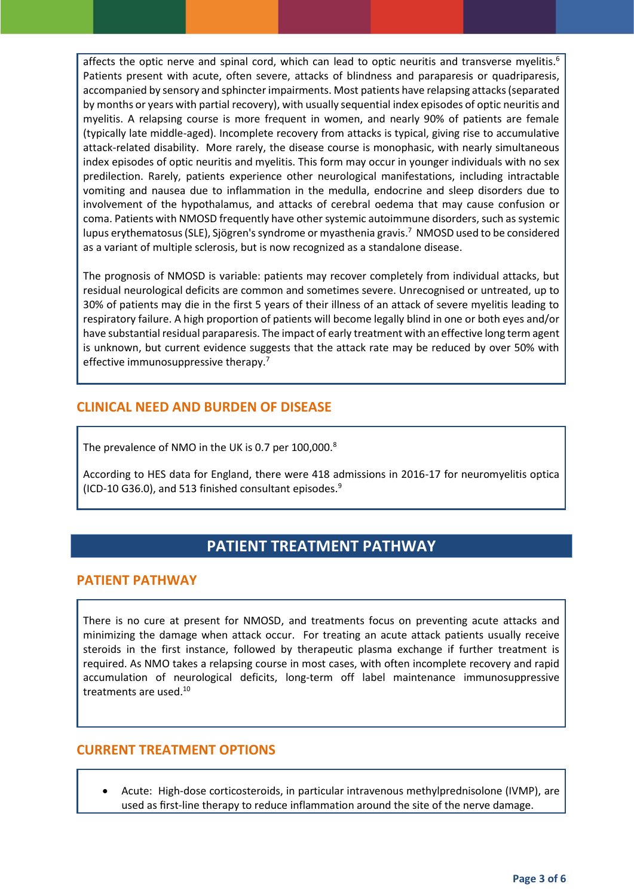affects the optic nerve and spinal cord, which can lead to optic neuritis and transverse myelitis.<sup>6</sup> Patients present with acute, often severe, attacks of blindness and paraparesis or quadriparesis, accompanied by sensory and sphincter impairments. Most patients have relapsing attacks (separated by months or years with partial recovery), with usually sequential index episodes of optic neuritis and myelitis. A relapsing course is more frequent in women, and nearly 90% of patients are female (typically late middle-aged). Incomplete recovery from attacks is typical, giving rise to accumulative attack-related disability. More rarely, the disease course is monophasic, with nearly simultaneous index episodes of optic neuritis and myelitis. This form may occur in younger individuals with no sex predilection. Rarely, patients experience other neurological manifestations, including intractable vomiting and nausea due to inflammation in the medulla, endocrine and sleep disorders due to involvement of the hypothalamus, and attacks of cerebral oedema that may cause confusion or coma. Patients with NMOSD frequently have other systemic autoimmune disorders, such as systemic lupus erythematosus (SLE), Sjögren's syndrome or myasthenia gravis. 7 NMOSD used to be considered as a variant of multiple sclerosis, but is now recognized as a standalone disease.

The prognosis of NMOSD is variable: patients may recover completely from individual attacks, but residual neurological deficits are common and sometimes severe. Unrecognised or untreated, up to 30% of patients may die in the first 5 years of their illness of an attack of severe myelitis leading to respiratory failure. A high proportion of patients will become legally blind in one or both eyes and/or have substantial residual paraparesis. The impact of early treatment with an effective long term agent is unknown, but current evidence suggests that the attack rate may be reduced by over 50% with effective immunosuppressive therapy.<sup>7</sup>

### **CLINICAL NEED AND BURDEN OF DISEASE**

The prevalence of NMO in the UK is 0.7 per 100,000.<sup>8</sup>

According to HES data for England, there were 418 admissions in 2016-17 for neuromyelitis optica (ICD-10 G36.0), and 513 finished consultant episodes. $9$ 

# **PATIENT TREATMENT PATHWAY**

#### **PATIENT PATHWAY**

There is no cure at present for NMOSD, and treatments focus on preventing acute attacks and minimizing the damage when attack occur. For treating an acute attack patients usually receive steroids in the first instance, followed by therapeutic plasma exchange if further treatment is required. As NMO takes a relapsing course in most cases, with often incomplete recovery and rapid accumulation of neurological deficits, long-term off label maintenance immunosuppressive treatments are used. 10

#### **CURRENT TREATMENT OPTIONS**

 Acute: High-dose corticosteroids, in particular intravenous methylprednisolone (IVMP), are used as first-line therapy to reduce inflammation around the site of the nerve damage.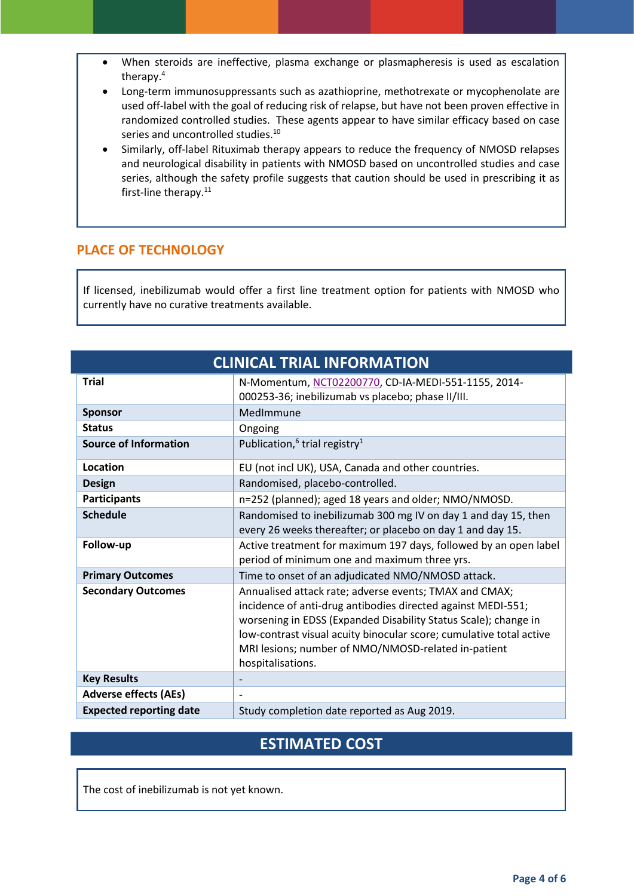- When steroids are ineffective, plasma exchange or plasmapheresis is used as escalation therapy.<sup>4</sup>
- Long-term immunosuppressants such as azathioprine, methotrexate or mycophenolate are used off-label with the goal of reducing risk of relapse, but have not been proven effective in randomized controlled studies. These agents appear to have similar efficacy based on case series and uncontrolled studies.<sup>10</sup>
- Similarly, off-label Rituximab therapy appears to reduce the frequency of NMOSD relapses and neurological disability in patients with NMOSD based on uncontrolled studies and case series, although the safety profile suggests that caution should be used in prescribing it as first-line therapy.<sup>11</sup>

#### **PLACE OF TECHNOLOGY**

If licensed, inebilizumab would offer a first line treatment option for patients with NMOSD who currently have no curative treatments available.

| <b>CLINICAL TRIAL INFORMATION</b> |                                                                                                                                                                                                                                                                                                                                              |  |
|-----------------------------------|----------------------------------------------------------------------------------------------------------------------------------------------------------------------------------------------------------------------------------------------------------------------------------------------------------------------------------------------|--|
| <b>Trial</b>                      | N-Momentum, NCT02200770, CD-IA-MEDI-551-1155, 2014-<br>000253-36; inebilizumab vs placebo; phase II/III.                                                                                                                                                                                                                                     |  |
| <b>Sponsor</b>                    | MedImmune                                                                                                                                                                                                                                                                                                                                    |  |
| <b>Status</b>                     | Ongoing                                                                                                                                                                                                                                                                                                                                      |  |
| <b>Source of Information</b>      | Publication, <sup>6</sup> trial registry <sup>1</sup>                                                                                                                                                                                                                                                                                        |  |
| Location                          | EU (not incl UK), USA, Canada and other countries.                                                                                                                                                                                                                                                                                           |  |
| <b>Design</b>                     | Randomised, placebo-controlled.                                                                                                                                                                                                                                                                                                              |  |
| <b>Participants</b>               | n=252 (planned); aged 18 years and older; NMO/NMOSD.                                                                                                                                                                                                                                                                                         |  |
| <b>Schedule</b>                   | Randomised to inebilizumab 300 mg IV on day 1 and day 15, then<br>every 26 weeks thereafter; or placebo on day 1 and day 15.                                                                                                                                                                                                                 |  |
| Follow-up                         | Active treatment for maximum 197 days, followed by an open label<br>period of minimum one and maximum three yrs.                                                                                                                                                                                                                             |  |
| <b>Primary Outcomes</b>           | Time to onset of an adjudicated NMO/NMOSD attack.                                                                                                                                                                                                                                                                                            |  |
| <b>Secondary Outcomes</b>         | Annualised attack rate; adverse events; TMAX and CMAX;<br>incidence of anti-drug antibodies directed against MEDI-551;<br>worsening in EDSS (Expanded Disability Status Scale); change in<br>low-contrast visual acuity binocular score; cumulative total active<br>MRI lesions; number of NMO/NMOSD-related in-patient<br>hospitalisations. |  |
| <b>Key Results</b>                | $\overline{\phantom{a}}$                                                                                                                                                                                                                                                                                                                     |  |
| <b>Adverse effects (AEs)</b>      |                                                                                                                                                                                                                                                                                                                                              |  |
| <b>Expected reporting date</b>    | Study completion date reported as Aug 2019.                                                                                                                                                                                                                                                                                                  |  |

# **ESTIMATED COST**

The cost of inebilizumab is not yet known.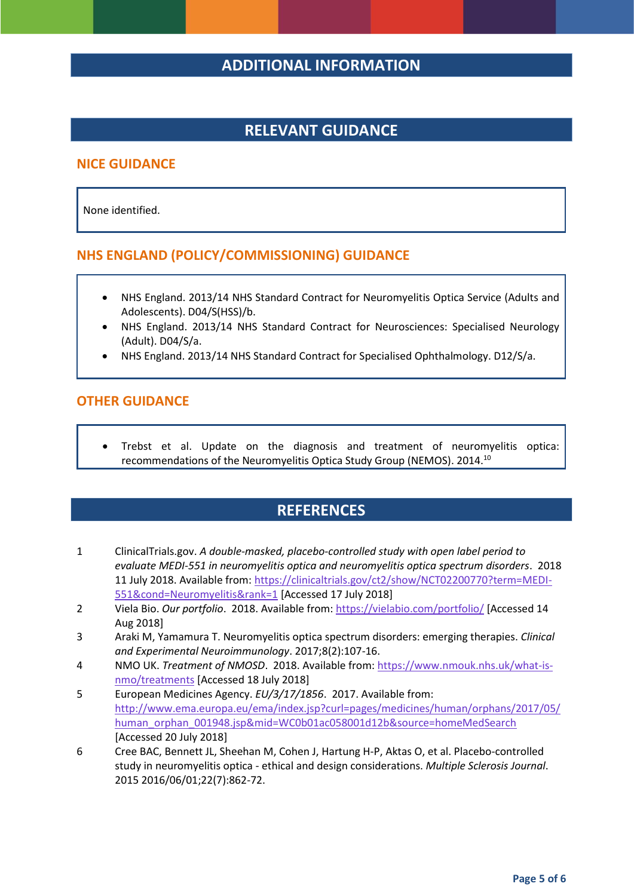## **ADDITIONAL INFORMATION**

## **RELEVANT GUIDANCE**

#### **NICE GUIDANCE**

None identified.

#### **NHS ENGLAND (POLICY/COMMISSIONING) GUIDANCE**

- NHS England. 2013/14 NHS Standard Contract for Neuromyelitis Optica Service (Adults and Adolescents). D04/S(HSS)/b.
- NHS England. 2013/14 NHS Standard Contract for Neurosciences: Specialised Neurology (Adult). D04/S/a.
- NHS England. 2013/14 NHS Standard Contract for Specialised Ophthalmology. D12/S/a.

#### **OTHER GUIDANCE**

 Trebst et al. Update on the diagnosis and treatment of neuromyelitis optica: recommendations of the Neuromyelitis Optica Study Group (NEMOS). 2014.<sup>10</sup>

### **REFERENCES**

- 1 ClinicalTrials.gov. *A double-masked, placebo-controlled study with open label period to evaluate MEDI-551 in neuromyelitis optica and neuromyelitis optica spectrum disorders*. 2018 11 July 2018. Available from: [https://clinicaltrials.gov/ct2/show/NCT02200770?term=MEDI-](https://clinicaltrials.gov/ct2/show/NCT02200770?term=MEDI-551&cond=Neuromyelitis&rank=1)[551&cond=Neuromyelitis&rank=1](https://clinicaltrials.gov/ct2/show/NCT02200770?term=MEDI-551&cond=Neuromyelitis&rank=1) [Accessed 17 July 2018]
- 2 Viela Bio. *Our portfolio*. 2018. Available from[: https://vielabio.com/portfolio/](https://vielabio.com/portfolio/) [Accessed 14 Aug 2018]
- 3 Araki M, Yamamura T. Neuromyelitis optica spectrum disorders: emerging therapies. *Clinical and Experimental Neuroimmunology*. 2017;8(2):107-16.
- 4 NMO UK. *Treatment of NMOSD*. 2018. Available from[: https://www.nmouk.nhs.uk/what-is](https://www.nmouk.nhs.uk/what-is-nmo/treatments)[nmo/treatments](https://www.nmouk.nhs.uk/what-is-nmo/treatments) [Accessed 18 July 2018]
- 5 European Medicines Agency. *EU/3/17/1856*. 2017. Available from: [http://www.ema.europa.eu/ema/index.jsp?curl=pages/medicines/human/orphans/2017/05/](http://www.ema.europa.eu/ema/index.jsp?curl=pages/medicines/human/orphans/2017/05/human_orphan_001948.jsp&mid=WC0b01ac058001d12b&source=homeMedSearch) [human\\_orphan\\_001948.jsp&mid=WC0b01ac058001d12b&source=homeMedSearch](http://www.ema.europa.eu/ema/index.jsp?curl=pages/medicines/human/orphans/2017/05/human_orphan_001948.jsp&mid=WC0b01ac058001d12b&source=homeMedSearch) [Accessed 20 July 2018]
- 6 Cree BAC, Bennett JL, Sheehan M, Cohen J, Hartung H-P, Aktas O, et al. Placebo-controlled study in neuromyelitis optica - ethical and design considerations. *Multiple Sclerosis Journal*. 2015 2016/06/01;22(7):862-72.